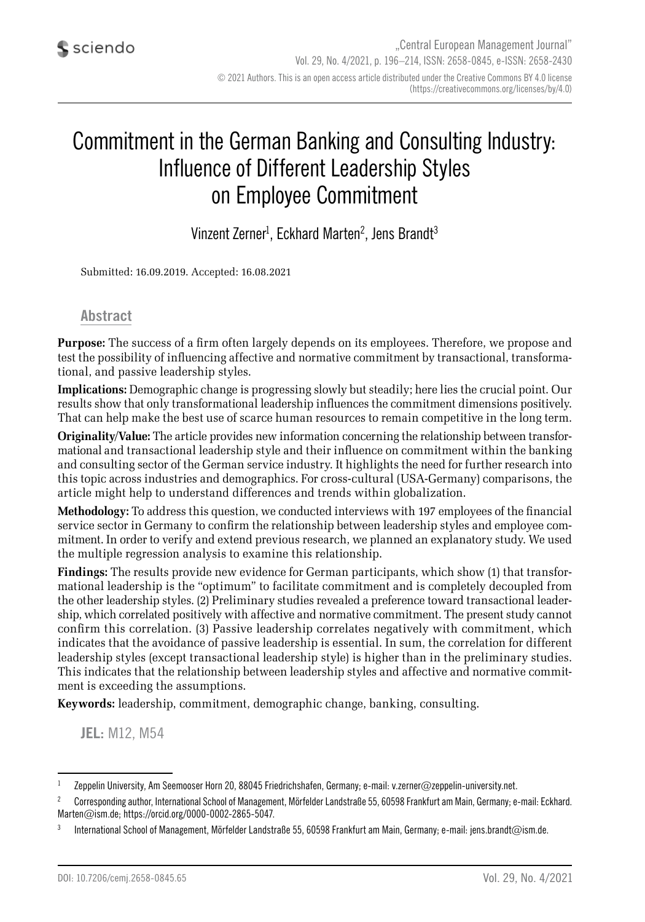# Commitment in the German Banking and Consulting Industry: Influence of Different Leadership Styles on Employee Commitment

Vinzent Zerner $^{\rm l}$ , Eckhard Marten $^{\rm 2}$ , Jens Brandt $^{\rm 3}$ 

Submitted: 16.09.2019. Accepted: 16.08.2021

#### **Abstract**

**Purpose:** The success of a firm often largely depends on its employees. Therefore, we propose and test the possibility of influencing affective and normative commitment by transactional, transformational, and passive leadership styles.

**Implications:** Demographic change is progressing slowly but steadily; here lies the crucial point. Our results show that only transformational leadership influences the commitment dimensions positively. That can help make the best use of scarce human resources to remain competitive in the long term.

**Originality/Value:** The article provides new information concerning the relationship between transformational and transactional leadership style and their influence on commitment within the banking and consulting sector of the German service industry. It highlights the need for further research into this topic across industries and demographics. For cross-cultural (USA-Germany) comparisons, the article might help to understand differences and trends within globalization.

**Methodology:** To address this question, we conducted interviews with 197 employees of the financial service sector in Germany to confirm the relationship between leadership styles and employee commitment. In order to verify and extend previous research, we planned an explanatory study. We used the multiple regression analysis to examine this relationship.

**Findings:** The results provide new evidence for German participants, which show (1) that transformational leadership is the "optimum" to facilitate commitment and is completely decoupled from the other leadership styles. (2) Preliminary studies revealed a preference toward transactional leadership, which correlated positively with affective and normative commitment. The present study cannot confirm this correlation. (3) Passive leadership correlates negatively with commitment, which indicates that the avoidance of passive leadership is essential. In sum, the correlation for different leadership styles (except transactional leadership style) is higher than in the preliminary studies. This indicates that the relationship between leadership styles and affective and normative commitment is exceeding the assumptions.

**Keywords:** leadership, commitment, demographic change, banking, consulting.

**JEL:** M12, M54

<sup>&</sup>lt;sup>1</sup> Zeppelin University, Am Seemooser Horn 20, 88045 Friedrichshafen, Germany; e-mail: v.zerner@zeppelin-university.net.

<sup>&</sup>lt;sup>2</sup> Corresponding author, International School of Management, Mörfelder Landstraße 55, 60598 Frankfurt am Main, Germany; e-mail: Eckhard. Marten@ism.de; https://orcid.org/0000-0002-2865-5047.

<sup>3</sup> International School of Management, Mörfelder Landstraße 55, 60598 Frankfurt am Main, Germany; e-mail: jens.brandt@ism.de.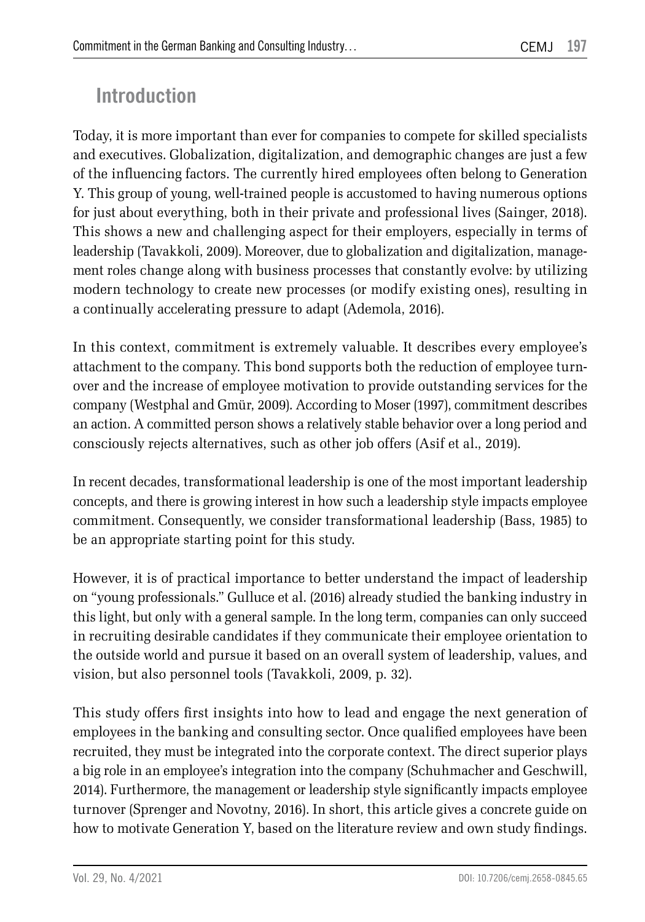# **Introduction**

Today, it is more important than ever for companies to compete for skilled specialists and executives. Globalization, digitalization, and demographic changes are just a few of the influencing factors. The currently hired employees often belong to Generation Y. This group of young, well-trained people is accustomed to having numerous options for just about everything, both in their private and professional lives (Sainger, 2018). This shows a new and challenging aspect for their employers, especially in terms of leadership (Tavakkoli, 2009). Moreover, due to globalization and digitalization, management roles change along with business processes that constantly evolve: by utilizing modern technology to create new processes (or modify existing ones), resulting in a continually accelerating pressure to adapt (Ademola, 2016).

In this context, commitment is extremely valuable. It describes every employee's attachment to the company. This bond supports both the reduction of employee turnover and the increase of employee motivation to provide outstanding services for the company (Westphal and Gmür, 2009). According to Moser (1997), commitment describes an action. A committed person shows a relatively stable behavior over a long period and consciously rejects alternatives, such as other job offers (Asif et al., 2019).

In recent decades, transformational leadership is one of the most important leadership concepts, and there is growing interest in how such a leadership style impacts employee commitment. Consequently, we consider transformational leadership (Bass, 1985) to be an appropriate starting point for this study.

However, it is of practical importance to better understand the impact of leadership on "young professionals." Gulluce et al. (2016) already studied the banking industry in this light, but only with a general sample. In the long term, companies can only succeed in recruiting desirable candidates if they communicate their employee orientation to the outside world and pursue it based on an overall system of leadership, values, and vision, but also personnel tools (Tavakkoli, 2009, p. 32).

This study offers first insights into how to lead and engage the next generation of employees in the banking and consulting sector. Once qualified employees have been recruited, they must be integrated into the corporate context. The direct superior plays a big role in an employee's integration into the company (Schuhmacher and Geschwill, 2014). Furthermore, the management or leadership style significantly impacts employee turnover (Sprenger and Novotny, 2016). In short, this article gives a concrete guide on how to motivate Generation Y, based on the literature review and own study findings.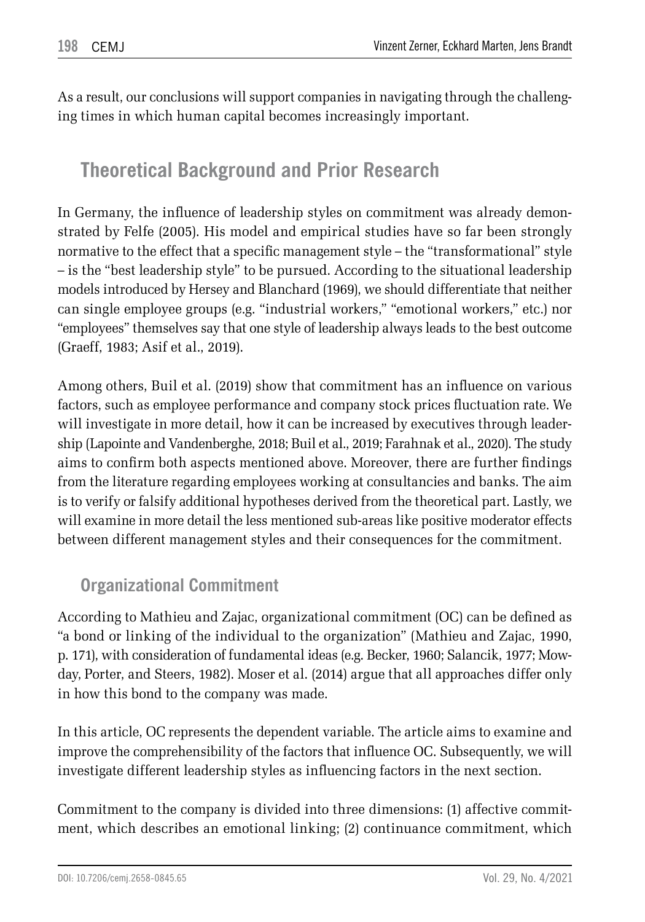As a result, our conclusions will support companies in navigating through the challenging times in which human capital becomes increasingly important.

# **Theoretical Background and Prior Research**

In Germany, the influence of leadership styles on commitment was already demonstrated by Felfe (2005). His model and empirical studies have so far been strongly normative to the effect that a specific management style – the "transformational" style – is the "best leadership style" to be pursued. According to the situational leadership models introduced by Hersey and Blanchard (1969), we should differentiate that neither can single employee groups (e.g. "industrial workers," "emotional workers," etc.) nor "employees" themselves say that one style of leadership always leads to the best outcome (Graeff, 1983; Asif et al., 2019).

Among others, Buil et al. (2019) show that commitment has an influence on various factors, such as employee performance and company stock prices fluctuation rate. We will investigate in more detail, how it can be increased by executives through leadership (Lapointe and Vandenberghe, 2018; Buil et al., 2019; Farahnak et al., 2020). The study aims to confirm both aspects mentioned above. Moreover, there are further findings from the literature regarding employees working at consultancies and banks. The aim is to verify or falsify additional hypotheses derived from the theoretical part. Lastly, we will examine in more detail the less mentioned sub-areas like positive moderator effects between different management styles and their consequences for the commitment.

## **Organizational Commitment**

According to Mathieu and Zajac, organizational commitment (OC) can be defined as "a bond or linking of the individual to the organization" (Mathieu and Zajac, 1990, p. 171), with consideration of fundamental ideas (e.g. Becker, 1960; Salancik, 1977; Mowday, Porter, and Steers, 1982). Moser et al. (2014) argue that all approaches differ only in how this bond to the company was made.

In this article, OC represents the dependent variable. The article aims to examine and improve the comprehensibility of the factors that influence OC. Subsequently, we will investigate different leadership styles as influencing factors in the next section.

Commitment to the company is divided into three dimensions: (1) affective commitment, which describes an emotional linking; (2) continuance commitment, which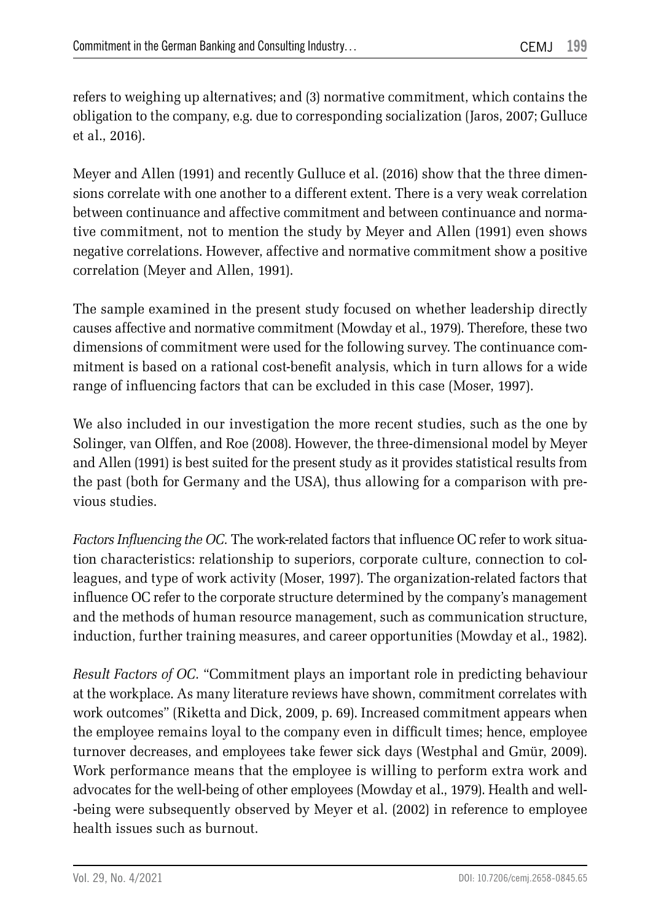refers to weighing up alternatives; and (3) normative commitment, which contains the obligation to the company, e.g. due to corresponding socialization (Jaros, 2007; Gulluce et al., 2016).

Meyer and Allen (1991) and recently Gulluce et al. (2016) show that the three dimensions correlate with one another to a different extent. There is a very weak correlation between continuance and affective commitment and between continuance and normative commitment, not to mention the study by Meyer and Allen (1991) even shows negative correlations. However, affective and normative commitment show a positive correlation (Meyer and Allen, 1991).

The sample examined in the present study focused on whether leadership directly causes affective and normative commitment (Mowday et al., 1979). Therefore, these two dimensions of commitment were used for the following survey. The continuance commitment is based on a rational cost-benefit analysis, which in turn allows for a wide range of influencing factors that can be excluded in this case (Moser, 1997).

We also included in our investigation the more recent studies, such as the one by Solinger, van Olffen, and Roe (2008). However, the three-dimensional model by Meyer and Allen (1991) is best suited for the present study as it provides statistical results from the past (both for Germany and the USA), thus allowing for a comparison with previous studies.

*Factors Influencing the OC.* The work-related factors that influence OC refer to work situation characteristics: relationship to superiors, corporate culture, connection to colleagues, and type of work activity (Moser, 1997). The organization-related factors that influence OC refer to the corporate structure determined by the company's management and the methods of human resource management, such as communication structure, induction, further training measures, and career opportunities (Mowday et al., 1982).

*Result Factors of OC.* "Commitment plays an important role in predicting behaviour at the workplace. As many literature reviews have shown, commitment correlates with work outcomes" (Riketta and Dick, 2009, p. 69). Increased commitment appears when the employee remains loyal to the company even in difficult times; hence, employee turnover decreases, and employees take fewer sick days (Westphal and Gmür, 2009). Work performance means that the employee is willing to perform extra work and advocates for the well-being of other employees (Mowday et al., 1979). Health and wellbeing were subsequently observed by Meyer et al. (2002) in reference to employee health issues such as burnout.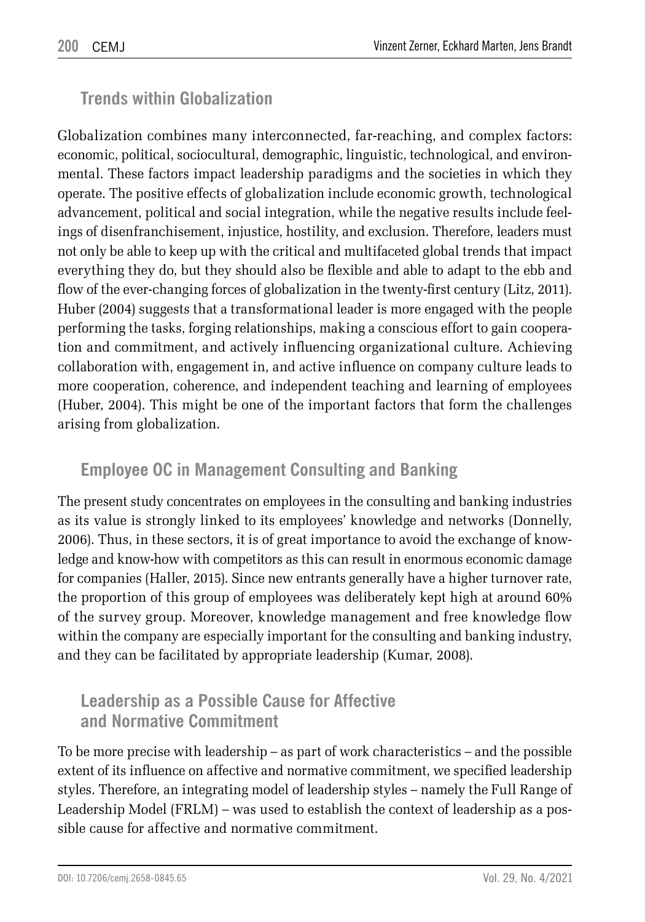### **Trends within Globalization**

Globalization combines many interconnected, far-reaching, and complex factors: economic, political, sociocultural, demographic, linguistic, technological, and environmental. These factors impact leadership paradigms and the societies in which they operate. The positive effects of globalization include economic growth, technological advancement, political and social integration, while the negative results include feelings of disenfranchisement, injustice, hostility, and exclusion. Therefore, leaders must not only be able to keep up with the critical and multifaceted global trends that impact everything they do, but they should also be flexible and able to adapt to the ebb and flow of the ever-changing forces of globalization in the twenty-first century (Litz, 2011). Huber (2004) suggests that a transformational leader is more engaged with the people performing the tasks, forging relationships, making a conscious effort to gain cooperation and commitment, and actively influencing organizational culture. Achieving collaboration with, engagement in, and active influence on company culture leads to more cooperation, coherence, and independent teaching and learning of employees (Huber, 2004). This might be one of the important factors that form the challenges arising from globalization.

### **Employee OC in Management Consulting and Banking**

The present study concentrates on employees in the consulting and banking industries as its value is strongly linked to its employees' knowledge and networks (Donnelly, 2006). Thus, in these sectors, it is of great importance to avoid the exchange of knowledge and know-how with competitors as this can result in enormous economic damage for companies (Haller, 2015). Since new entrants generally have a higher turnover rate, the proportion of this group of employees was deliberately kept high at around 60% of the survey group. Moreover, knowledge management and free knowledge flow within the company are especially important for the consulting and banking industry, and they can be facilitated by appropriate leadership (Kumar, 2008).

### **Leadership as a Possible Cause for Affective and Normative Commitment**

To be more precise with leadership – as part of work characteristics – and the possible extent of its influence on affective and normative commitment, we specified leadership styles. Therefore, an integrating model of leadership styles – namely the Full Range of Leadership Model (FRLM) – was used to establish the context of leadership as a possible cause for affective and normative commitment.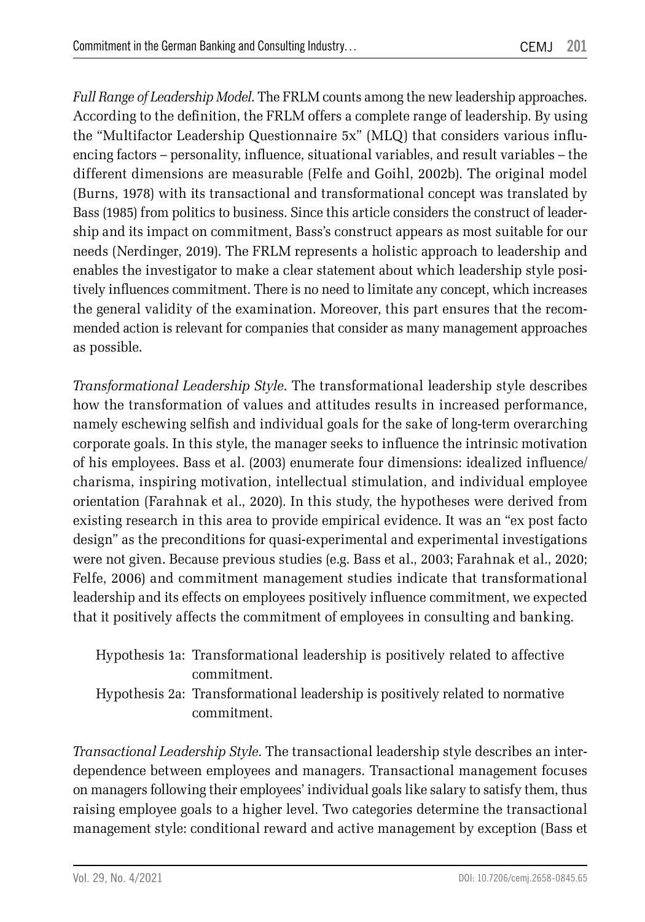*Full Range of Leadership Model*. The FRLM counts among the new leadership approaches. According to the definition, the FRLM offers a complete range of leadership. By using the "Multifactor Leadership Questionnaire 5x" (MLQ) that considers various influencing factors – personality, influence, situational variables, and result variables – the different dimensions are measurable (Felfe and Goihl, 2002b). The original model (Burns, 1978) with its transactional and transformational concept was translated by Bass (1985) from politics to business. Since this article considers the construct of leadership and its impact on commitment, Bass's construct appears as most suitable for our needs (Nerdinger, 2019). The FRLM represents a holistic approach to leadership and enables the investigator to make a clear statement about which leadership style positively influences commitment. There is no need to limitate any concept, which increases the general validity of the examination. Moreover, this part ensures that the recommended action is relevant for companies that consider as many management approaches as possible.

*Transformational Leadership Style*. The transformational leadership style describes how the transformation of values and attitudes results in increased performance, namely eschewing selfish and individual goals for the sake of long-term overarching corporate goals. In this style, the manager seeks to influence the intrinsic motivation of his employees. Bass et al. (2003) enumerate four dimensions: idealized influence/ charisma, inspiring motivation, intellectual stimulation, and individual employee orientation (Farahnak et al., 2020). In this study, the hypotheses were derived from existing research in this area to provide empirical evidence. It was an "ex post facto design" as the preconditions for quasi-experimental and experimental investigations were not given. Because previous studies (e.g. Bass et al., 2003; Farahnak et al., 2020; Felfe, 2006) and commitment management studies indicate that transformational leadership and its effects on employees positively influence commitment, we expected that it positively affects the commitment of employees in consulting and banking.

| Hypothesis 1a: Transformational leadership is positively related to affective |
|-------------------------------------------------------------------------------|
| commitment.                                                                   |
| Hypothesis 2a: Transformational leadership is positively related to normative |
| commitment.                                                                   |

*Transactional Leadership Style*. The transactional leadership style describes an interdependence between employees and managers. Transactional management focuses on managers following their employees' individual goals like salary to satisfy them, thus raising employee goals to a higher level. Two categories determine the transactional management style: conditional reward and active management by exception (Bass et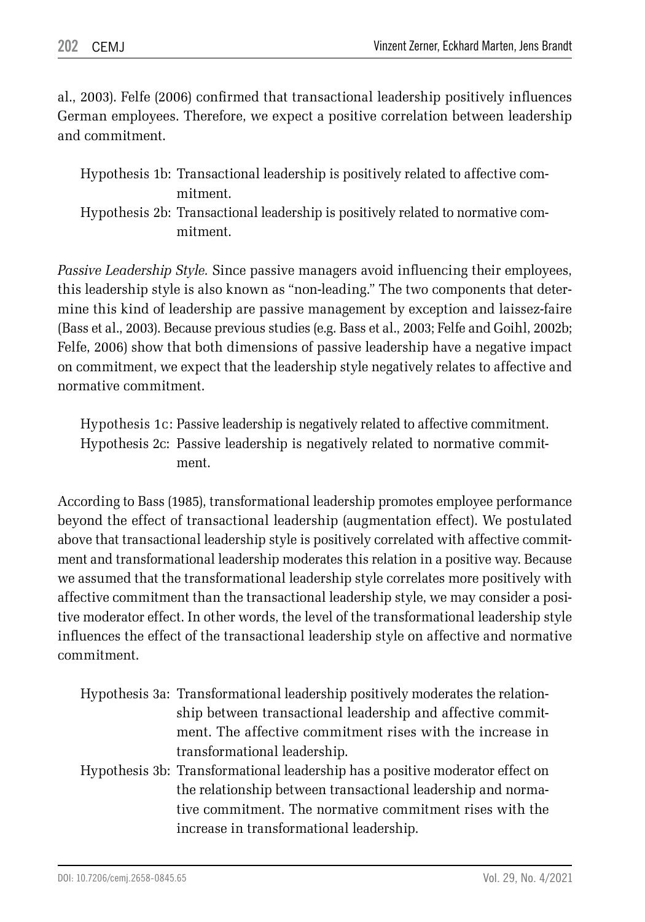al., 2003). Felfe (2006) confirmed that transactional leadership positively influences German employees. Therefore, we expect a positive correlation between leadership and commitment.

| Hypothesis 1b: Transactional leadership is positively related to affective com- |
|---------------------------------------------------------------------------------|
| mitment.                                                                        |

```
Hypothesis 2b: Transactional leadership is positively related to normative com-
    mitment.
```
*Passive Leadership Style.* Since passive managers avoid influencing their employees, this leadership style is also known as "non-leading." The two components that determine this kind of leadership are passive management by exception and laissez-faire (Bass et al., 2003). Because previous studies (e.g. Bass et al., 2003; Felfe and Goihl, 2002b; Felfe, 2006) show that both dimensions of passive leadership have a negative impact on commitment, we expect that the leadership style negatively relates to affective and normative commitment.

Hypothesis 1c: Passive leadership is negatively related to affective commitment. Hypothesis 2c: Passive leadership is negatively related to normative commitment.

According to Bass (1985), transformational leadership promotes employee performance beyond the effect of transactional leadership (augmentation effect). We postulated above that transactional leadership style is positively correlated with affective commitment and transformational leadership moderates this relation in a positive way. Because we assumed that the transformational leadership style correlates more positively with affective commitment than the transactional leadership style, we may consider a positive moderator effect. In other words, the level of the transformational leadership style influences the effect of the transactional leadership style on affective and normative commitment.

| Hypothesis 3a: Transformational leadership positively moderates the relation- |
|-------------------------------------------------------------------------------|
| ship between transactional leadership and affective commit-                   |
| ment. The affective commitment rises with the increase in                     |
| transformational leadership.                                                  |
| Hypothesis 3b: Transformational leadership has a positive moderator effect on |
| the relationship between transactional leadership and norma-                  |
| tive commitment. The normative commitment rises with the                      |
| increase in transformational leadership.                                      |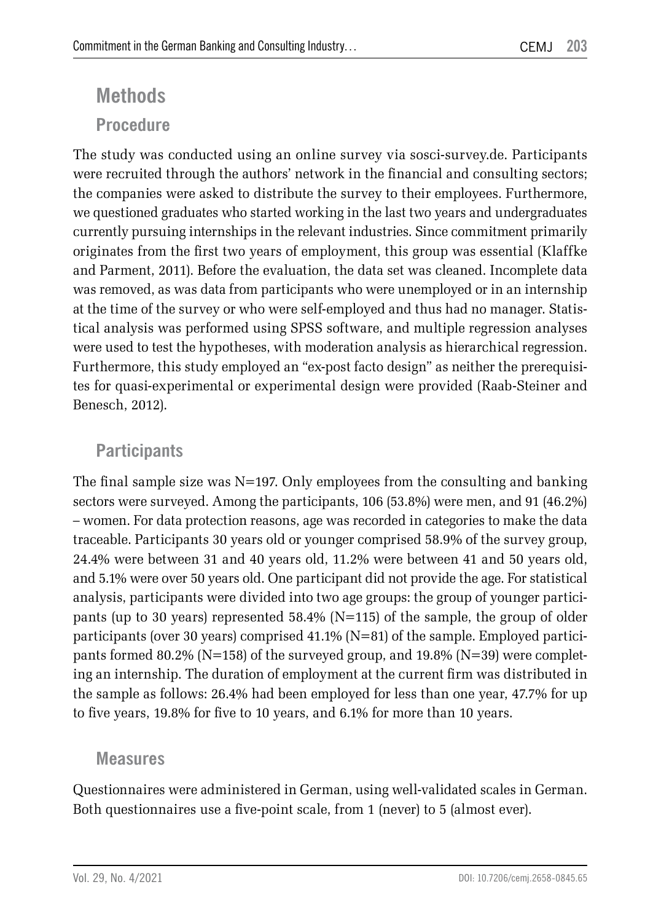# **Methods Procedure**

The study was conducted using an online survey via sosci-survey.de. Participants were recruited through the authors' network in the financial and consulting sectors; the companies were asked to distribute the survey to their employees. Furthermore, we questioned graduates who started working in the last two years and undergraduates currently pursuing internships in the relevant industries. Since commitment primarily originates from the first two years of employment, this group was essential (Klaffke and Parment, 2011). Before the evaluation, the data set was cleaned. Incomplete data was removed, as was data from participants who were unemployed or in an internship at the time of the survey or who were self-employed and thus had no manager. Statistical analysis was performed using SPSS software, and multiple regression analyses were used to test the hypotheses, with moderation analysis as hierarchical regression. Furthermore, this study employed an "ex-post facto design" as neither the prerequisites for quasi-experimental or experimental design were provided (Raab-Steiner and Benesch, 2012).

## **Participants**

The final sample size was  $N=197$ . Only employees from the consulting and banking sectors were surveyed. Among the participants, 106 (53.8%) were men, and 91 (46.2%) – women. For data protection reasons, age was recorded in categories to make the data traceable. Participants 30 years old or younger comprised 58.9% of the survey group, 24.4% were between 31 and 40 years old, 11.2% were between 41 and 50 years old, and 5.1% were over 50 years old. One participant did not provide the age. For statistical analysis, participants were divided into two age groups: the group of younger participants (up to 30 years) represented 58.4% (N=115) of the sample, the group of older participants (over 30 years) comprised 41.1% (N=81) of the sample. Employed participants formed 80.2% ( $N=158$ ) of the surveyed group, and 19.8% ( $N=39$ ) were completing an internship. The duration of employment at the current firm was distributed in the sample as follows: 26.4% had been employed for less than one year, 47.7% for up to five years, 19.8% for five to 10 years, and 6.1% for more than 10 years.

#### **Measures**

Questionnaires were administered in German, using well-validated scales in German. Both questionnaires use a five-point scale, from 1 (never) to 5 (almost ever).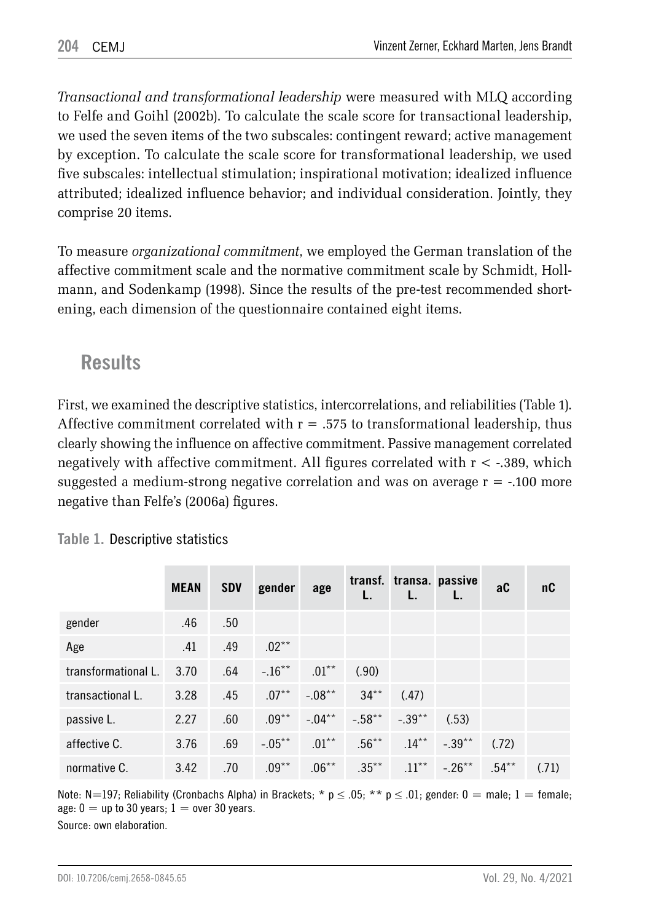*Transactional and transformational leadership* were measured with MLQ according to Felfe and Goihl (2002b). To calculate the scale score for transactional leadership, we used the seven items of the two subscales: contingent reward; active management by exception. To calculate the scale score for transformational leadership, we used five subscales: intellectual stimulation; inspirational motivation; idealized influence attributed; idealized influence behavior; and individual consideration. Jointly, they comprise 20 items.

To measure *organizational commitment*, we employed the German translation of the affective commitment scale and the normative commitment scale by Schmidt, Hollmann, and Sodenkamp (1998). Since the results of the pre-test recommended shortening, each dimension of the questionnaire contained eight items.

# **Results**

First, we examined the descriptive statistics, intercorrelations, and reliabilities (Table 1). Affective commitment correlated with  $r = 0.575$  to transformational leadership, thus clearly showing the influence on affective commitment. Passive management correlated negatively with affective commitment. All figures correlated with  $r < -0.389$ , which suggested a medium-strong negative correlation and was on average r = -.100 more negative than Felfe's (2006a) figures.

|                     | <b>MEAN</b> | <b>SDV</b> | gender    | age       |           | transf. transa. passive |           | aC      | nC    |
|---------------------|-------------|------------|-----------|-----------|-----------|-------------------------|-----------|---------|-------|
| gender              | .46         | .50        |           |           |           |                         |           |         |       |
| Age                 | .41         | .49        | $.02***$  |           |           |                         |           |         |       |
| transformational L. | 3.70        | .64        | $-.16***$ | $.01***$  | (.90)     |                         |           |         |       |
| transactional L.    | 3.28        | .45        | $.07***$  | $-.08***$ | $34**$    | (.47)                   |           |         |       |
| passive L.          | 2.27        | .60        | $.09***$  | $-.04***$ | $-.58***$ | $-.39***$               | (.53)     |         |       |
| affective C.        | 3.76        | .69        | $-.05***$ | $.01***$  | $.56***$  | $.14***$                | $-.39***$ | (.72)   |       |
| normative C.        | 3.42        | .70        | $.09***$  | $.06***$  | $.35***$  | $.11***$                | $-.26***$ | $.54**$ | (.71) |

**Table 1.** Descriptive statistics

Note: N=197; Reliability (Cronbachs Alpha) in Brackets; \*  $p \le 0.05$ ; \*\*  $p \le 0.01$ ; gender: 0 = male; 1 = female; age:  $0 =$  up to 30 years;  $1 =$  over 30 years. Source: own elaboration.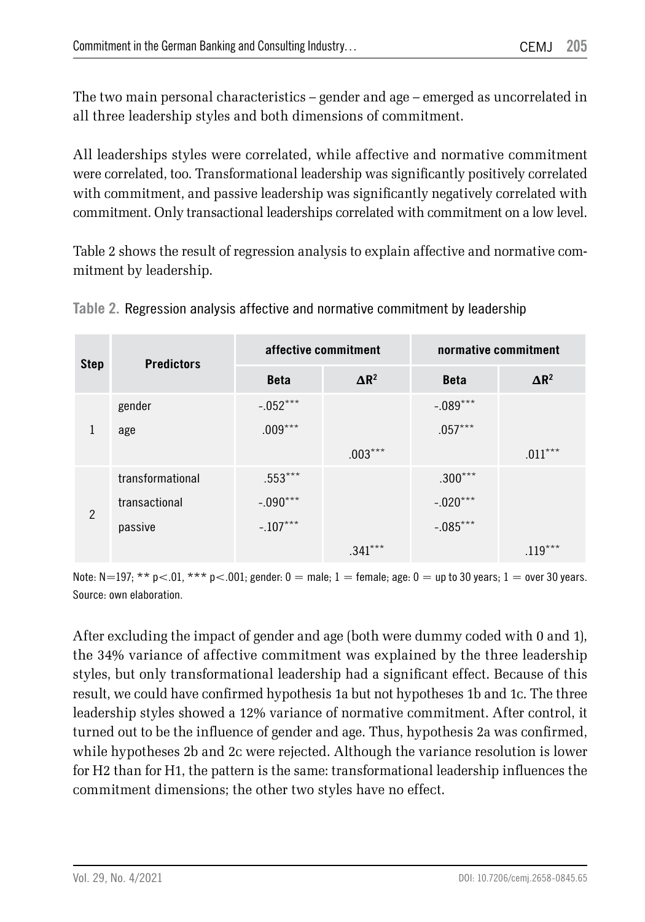The two main personal characteristics – gender and age – emerged as uncorrelated in all three leadership styles and both dimensions of commitment.

All leaderships styles were correlated, while affective and normative commitment were correlated, too. Transformational leadership was significantly positively correlated with commitment, and passive leadership was significantly negatively correlated with commitment. Only transactional leaderships correlated with commitment on a low level.

Table 2 shows the result of regression analysis to explain affective and normative commitment by leadership.

| <b>Step</b>    | <b>Predictors</b> |             | affective commitment    | normative commitment |                         |  |
|----------------|-------------------|-------------|-------------------------|----------------------|-------------------------|--|
|                |                   | <b>Beta</b> | $\Delta$ R <sup>2</sup> | <b>Beta</b>          | $\Delta$ R <sup>2</sup> |  |
|                | gender            | $-.052***$  |                         | $-.089***$           |                         |  |
| 1              | age               | $.009***$   |                         | $.057***$            |                         |  |
|                |                   |             | $.003***$               |                      | $.011***$               |  |
| $\overline{2}$ | transformational  | $.553***$   |                         | $.300***$            |                         |  |
|                | transactional     | $-.090***$  |                         | $-.020***$           |                         |  |
|                | passive           | $-.107***$  |                         | $-.085***$           |                         |  |
|                |                   |             | $.341***$               |                      | $.119***$               |  |

|  |  |  |  |  |  | Table 2. Regression analysis affective and normative commitment by leadership |  |  |
|--|--|--|--|--|--|-------------------------------------------------------------------------------|--|--|
|--|--|--|--|--|--|-------------------------------------------------------------------------------|--|--|

Note:  $N=197$ ; \*\* p<.01, \*\*\* p<.001; gender: 0 = male; 1 = female; age: 0 = up to 30 years; 1 = over 30 years. Source: own elaboration.

After excluding the impact of gender and age (both were dummy coded with 0 and 1), the 34% variance of affective commitment was explained by the three leadership styles, but only transformational leadership had a significant effect. Because of this result, we could have confirmed hypothesis 1a but not hypotheses 1b and 1c. The three leadership styles showed a 12% variance of normative commitment. After control, it turned out to be the influence of gender and age. Thus, hypothesis 2a was confirmed, while hypotheses 2b and 2c were rejected. Although the variance resolution is lower for H2 than for H1, the pattern is the same: transformational leadership influences the commitment dimensions; the other two styles have no effect.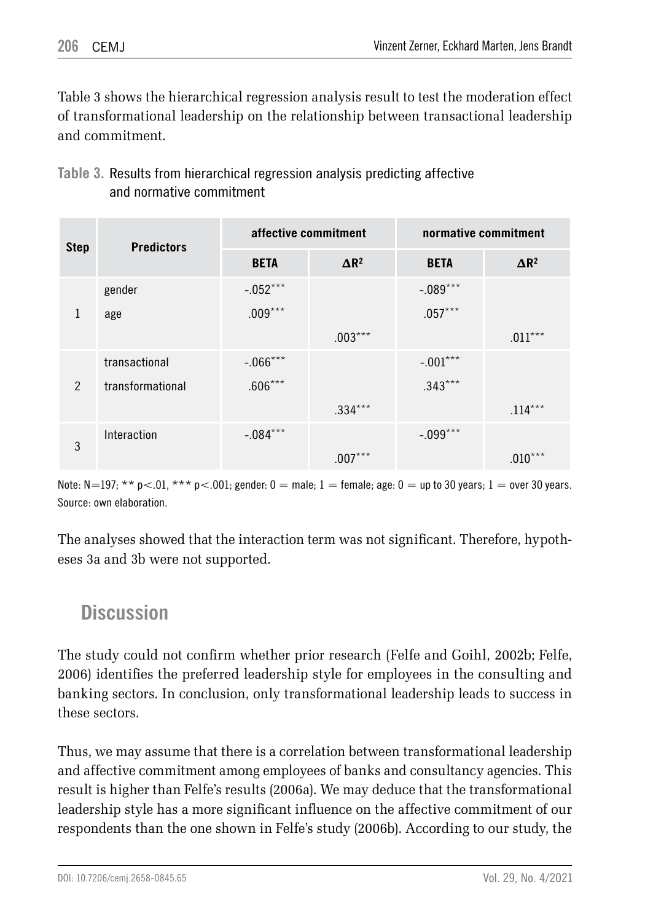Table 3 shows the hierarchical regression analysis result to test the moderation effect of transformational leadership on the relationship between transactional leadership and commitment.

| <b>Step</b>   | <b>Predictors</b> |             | affective commitment    | normative commitment |                         |  |
|---------------|-------------------|-------------|-------------------------|----------------------|-------------------------|--|
|               |                   | <b>BETA</b> | $\Delta$ R <sup>2</sup> | <b>BETA</b>          | $\Delta$ R <sup>2</sup> |  |
|               | gender            | $-.052***$  |                         | $-.089***$           |                         |  |
| 1             | age               | $.009***$   |                         | $.057***$            |                         |  |
|               |                   |             | $.003***$               |                      | $.011***$               |  |
|               | transactional     | $-.066***$  |                         | $-.001***$           |                         |  |
| $\mathcal{P}$ | transformational  | $.606***$   |                         | $.343***$            |                         |  |
|               |                   |             | $.334***$               |                      | $.114***$               |  |
| 3             | Interaction       | $-.084***$  |                         | $-.099***$           |                         |  |
|               |                   |             | $.007***$               |                      | $.010***$               |  |

#### **Table 3.** Results from hierarchical regression analysis predicting affective and normative commitment

Note:  $N=197$ ; \*\* p<.01, \*\*\* p<.001; gender: 0 = male; 1 = female; age: 0 = up to 30 years; 1 = over 30 years. Source: own elaboration.

The analyses showed that the interaction term was not significant. Therefore, hypotheses 3a and 3b were not supported.

## **Discussion**

The study could not confirm whether prior research (Felfe and Goihl, 2002b; Felfe, 2006) identifies the preferred leadership style for employees in the consulting and banking sectors. In conclusion, only transformational leadership leads to success in these sectors.

Thus, we may assume that there is a correlation between transformational leadership and affective commitment among employees of banks and consultancy agencies. This result is higher than Felfe's results (2006a). We may deduce that the transformational leadership style has a more significant influence on the affective commitment of our respondents than the one shown in Felfe's study (2006b). According to our study, the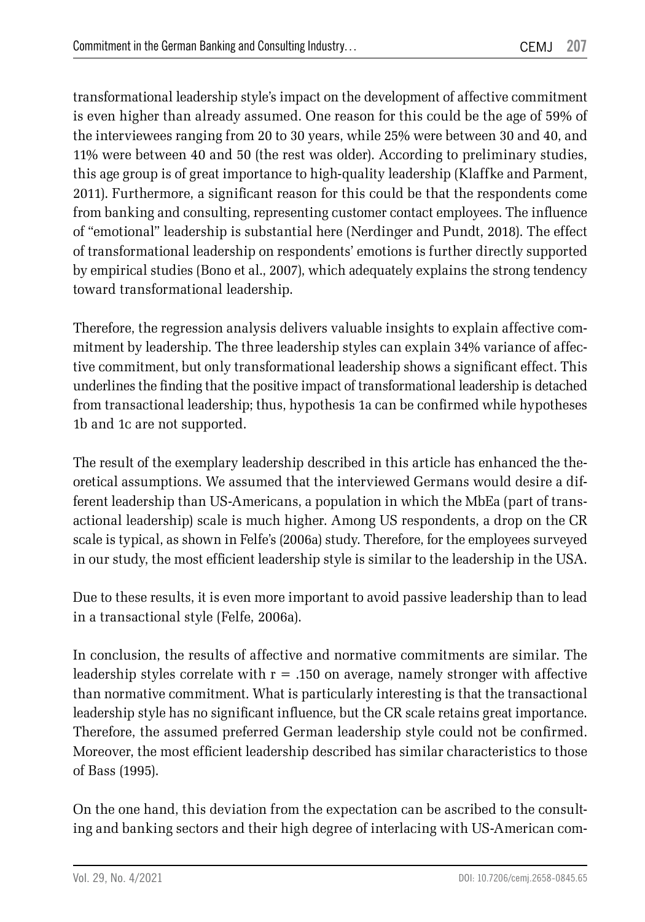transformational leadership style's impact on the development of affective commitment is even higher than already assumed. One reason for this could be the age of 59% of the interviewees ranging from 20 to 30 years, while 25% were between 30 and 40, and 11% were between 40 and 50 (the rest was older). According to preliminary studies, this age group is of great importance to high-quality leadership (Klaffke and Parment, 2011). Furthermore, a significant reason for this could be that the respondents come from banking and consulting, representing customer contact employees. The influence of "emotional" leadership is substantial here (Nerdinger and Pundt, 2018). The effect of transformational leadership on respondents' emotions is further directly supported by empirical studies (Bono et al., 2007), which adequately explains the strong tendency toward transformational leadership.

Therefore, the regression analysis delivers valuable insights to explain affective commitment by leadership. The three leadership styles can explain 34% variance of affective commitment, but only transformational leadership shows a significant effect. This underlines the finding that the positive impact of transformational leadership is detached from transactional leadership; thus, hypothesis 1a can be confirmed while hypotheses 1b and 1c are not supported.

The result of the exemplary leadership described in this article has enhanced the theoretical assumptions. We assumed that the interviewed Germans would desire a different leadership than US-Americans, a population in which the MbEa (part of transactional leadership) scale is much higher. Among US respondents, a drop on the CR scale is typical, as shown in Felfe's (2006a) study. Therefore, for the employees surveyed in our study, the most efficient leadership style is similar to the leadership in the USA.

Due to these results, it is even more important to avoid passive leadership than to lead in a transactional style (Felfe, 2006a).

In conclusion, the results of affective and normative commitments are similar. The leadership styles correlate with  $r = .150$  on average, namely stronger with affective than normative commitment. What is particularly interesting is that the transactional leadership style has no significant influence, but the CR scale retains great importance. Therefore, the assumed preferred German leadership style could not be confirmed. Moreover, the most efficient leadership described has similar characteristics to those of Bass (1995).

On the one hand, this deviation from the expectation can be ascribed to the consulting and banking sectors and their high degree of interlacing with US-American com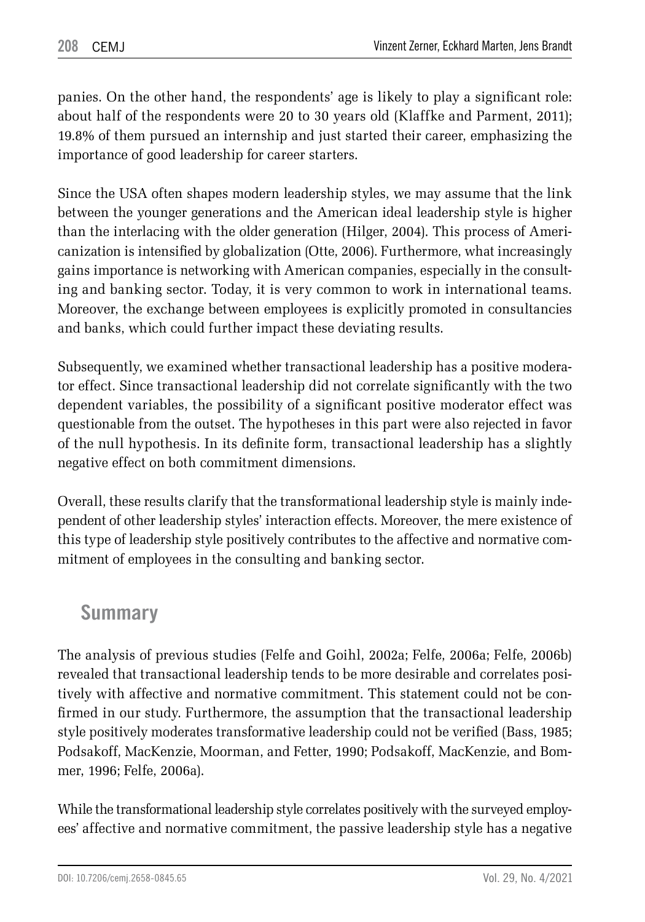panies. On the other hand, the respondents' age is likely to play a significant role: about half of the respondents were 20 to 30 years old (Klaffke and Parment, 2011); 19.8% of them pursued an internship and just started their career, emphasizing the importance of good leadership for career starters.

Since the USA often shapes modern leadership styles, we may assume that the link between the younger generations and the American ideal leadership style is higher than the interlacing with the older generation (Hilger, 2004). This process of Americanization is intensified by globalization (Otte, 2006). Furthermore, what increasingly gains importance is networking with American companies, especially in the consulting and banking sector. Today, it is very common to work in international teams. Moreover, the exchange between employees is explicitly promoted in consultancies and banks, which could further impact these deviating results.

Subsequently, we examined whether transactional leadership has a positive moderator effect. Since transactional leadership did not correlate significantly with the two dependent variables, the possibility of a significant positive moderator effect was questionable from the outset. The hypotheses in this part were also rejected in favor of the null hypothesis. In its definite form, transactional leadership has a slightly negative effect on both commitment dimensions.

Overall, these results clarify that the transformational leadership style is mainly independent of other leadership styles' interaction effects. Moreover, the mere existence of this type of leadership style positively contributes to the affective and normative commitment of employees in the consulting and banking sector.

## **Summary**

The analysis of previous studies (Felfe and Goihl, 2002a; Felfe, 2006a; Felfe, 2006b) revealed that transactional leadership tends to be more desirable and correlates positively with affective and normative commitment. This statement could not be confirmed in our study. Furthermore, the assumption that the transactional leadership style positively moderates transformative leadership could not be verified (Bass, 1985; Podsakoff, MacKenzie, Moorman, and Fetter, 1990; Podsakoff, MacKenzie, and Bommer, 1996; Felfe, 2006a).

While the transformational leadership style correlates positively with the surveyed employees' affective and normative commitment, the passive leadership style has a negative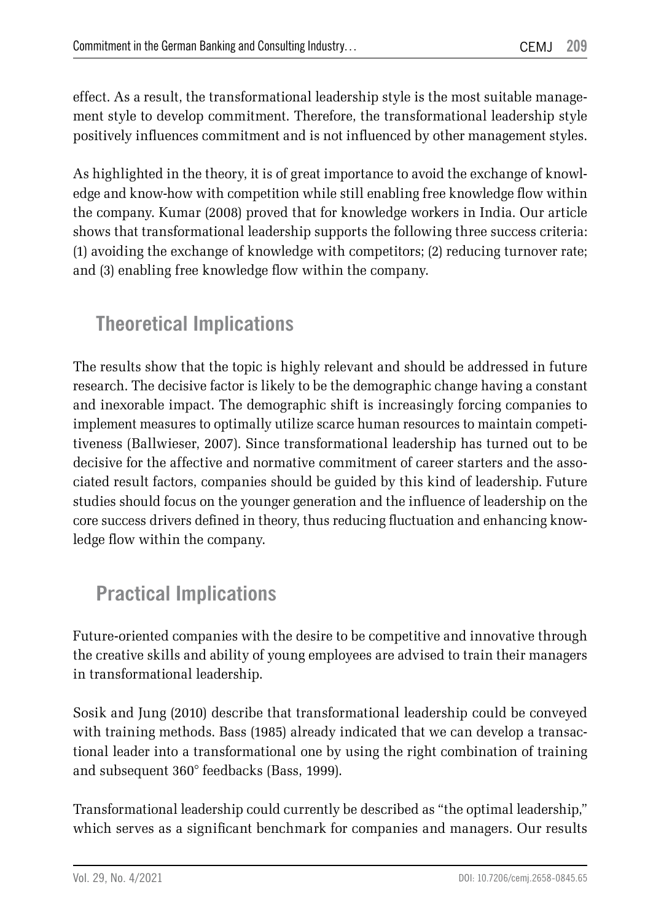effect. As a result, the transformational leadership style is the most suitable management style to develop commitment. Therefore, the transformational leadership style positively influences commitment and is not influenced by other management styles.

As highlighted in the theory, it is of great importance to avoid the exchange of knowledge and know-how with competition while still enabling free knowledge flow within the company. Kumar (2008) proved that for knowledge workers in India. Our article shows that transformational leadership supports the following three success criteria: (1) avoiding the exchange of knowledge with competitors; (2) reducing turnover rate; and (3) enabling free knowledge flow within the company.

# **Theoretical Implications**

The results show that the topic is highly relevant and should be addressed in future research. The decisive factor is likely to be the demographic change having a constant and inexorable impact. The demographic shift is increasingly forcing companies to implement measures to optimally utilize scarce human resources to maintain competitiveness (Ballwieser, 2007). Since transformational leadership has turned out to be decisive for the affective and normative commitment of career starters and the associated result factors, companies should be guided by this kind of leadership. Future studies should focus on the younger generation and the influence of leadership on the core success drivers defined in theory, thus reducing fluctuation and enhancing knowledge flow within the company.

# **Practical Implications**

Future-oriented companies with the desire to be competitive and innovative through the creative skills and ability of young employees are advised to train their managers in transformational leadership.

Sosik and Jung (2010) describe that transformational leadership could be conveyed with training methods. Bass (1985) already indicated that we can develop a transactional leader into a transformational one by using the right combination of training and subsequent 360° feedbacks (Bass, 1999).

Transformational leadership could currently be described as "the optimal leadership," which serves as a significant benchmark for companies and managers. Our results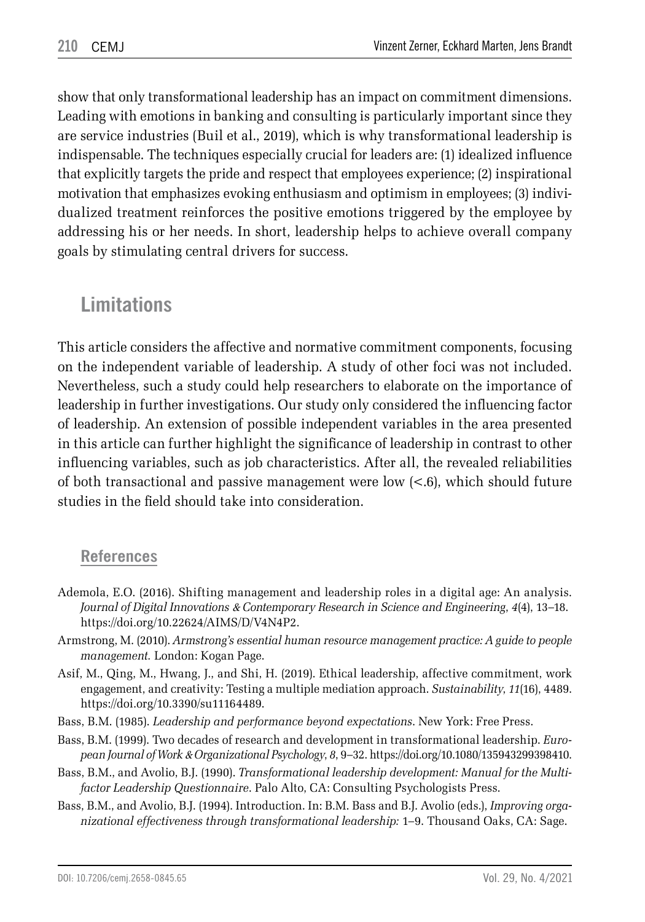show that only transformational leadership has an impact on commitment dimensions. Leading with emotions in banking and consulting is particularly important since they are service industries (Buil et al., 2019), which is why transformational leadership is indispensable. The techniques especially crucial for leaders are: (1) idealized influence that explicitly targets the pride and respect that employees experience; (2) inspirational motivation that emphasizes evoking enthusiasm and optimism in employees; (3) individualized treatment reinforces the positive emotions triggered by the employee by addressing his or her needs. In short, leadership helps to achieve overall company goals by stimulating central drivers for success.

## **Limitations**

This article considers the affective and normative commitment components, focusing on the independent variable of leadership. A study of other foci was not included. Nevertheless, such a study could help researchers to elaborate on the importance of leadership in further investigations. Our study only considered the influencing factor of leadership. An extension of possible independent variables in the area presented in this article can further highlight the significance of leadership in contrast to other influencing variables, such as job characteristics. After all, the revealed reliabilities of both transactional and passive management were low  $(< 6$ ), which should future studies in the field should take into consideration.

#### **References**

- Ademola, E.O. (2016). Shifting management and leadership roles in a digital age: An analysis. *Journal of Digital Innovations* & *Contemporary Research in Science and Engineering*, *4*(4), 13–18. https://doi.org/10.22624/AIMS/D/V4N4P2.
- Armstrong, M. (2010). *Armstrong's essential human resource management practice: A guide to people management.* London: Kogan Page.
- Asif, M., Qing, M., Hwang, J., and Shi, H. (2019). Ethical leadership, affective commitment, work engagement, and creativity: Testing a multiple mediation approach. *Sustainability*, *11*(16), 4489. https://doi.org/10.3390/su11164489.
- Bass, B.M. (1985). *Leadership and performance beyond expectations*. New York: Free Press.
- Bass, B.M. (1999). Two decades of research and development in transformational leadership. *European Journal of Work* & *Organizational Psychology*, *8*, 9–32. https://doi.org/10.1080/135943299398410.
- Bass, B.M., and Avolio, B.J. (1990). *Transformational leadership development: Manual for the Multifactor Leadership Questionnaire*. Palo Alto, CA: Consulting Psychologists Press.
- Bass, B.M., and Avolio, B.J. (1994). Introduction. In: B.M. Bass and B.J. Avolio (eds.), *Improving organizational effectiveness through transformational leadership:* 1–9. Thousand Oaks, CA: Sage.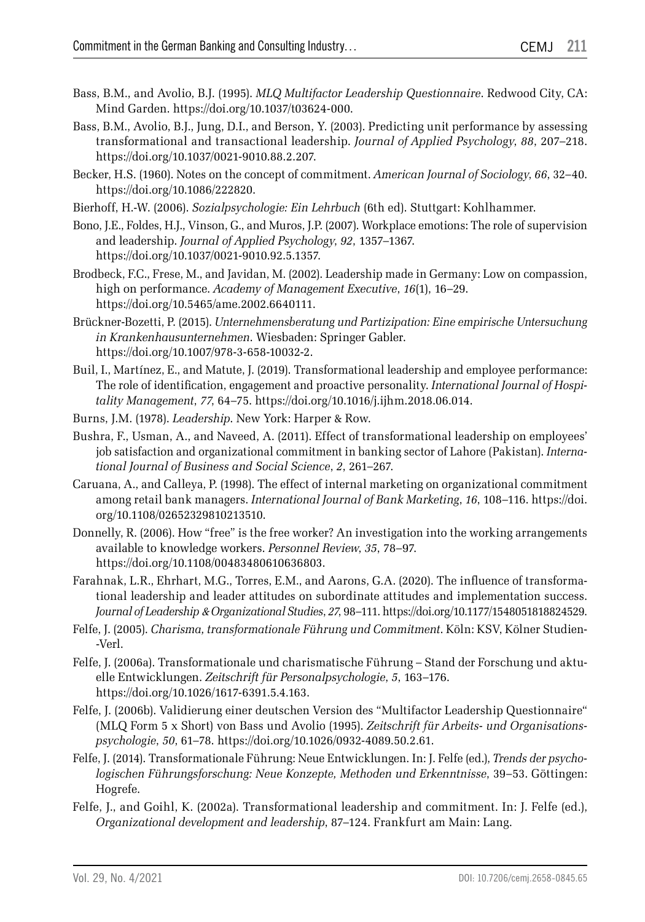- Bass, B.M., and Avolio, B.J. (1995). *MLQ Multifactor Leadership Questionnaire*. Redwood City, CA: Mind Garden. https://doi.org/10.1037/t03624-000.
- Bass, B.M., Avolio, B.J., Jung, D.I., and Berson, Y. (2003). Predicting unit performance by assessing transformational and transactional leadership. *Journal of Applied Psychology*, *88*, 207–218. https://doi.org/10.1037/0021-9010.88.2.207.
- Becker, H.S. (1960). Notes on the concept of commitment. *American Journal of Sociology*, *66*, 32–40. https://doi.org/10.1086/222820.
- Bierhoff, H.-W. (2006). *Sozialpsychologie: Ein Lehrbuch* (6th ed). Stuttgart: Kohlhammer.
- Bono, J.E., Foldes, H.J., Vinson, G., and Muros, J.P. (2007). Workplace emotions: The role of supervision and leadership. *Journal of Applied Psychology*, *92*, 1357–1367. https://doi.org/10.1037/0021-9010.92.5.1357.
- Brodbeck, F.C., Frese, M., and Javidan, M. (2002). Leadership made in Germany: Low on compassion, high on performance. *Academy of Management Executive*, *16*(1), 16–29. https://doi.org/10.5465/ame.2002.6640111.
- Brückner-Bozetti, P. (2015). *Unternehmensberatung und Partizipation: Eine empirische Untersuchung in Krankenhausunternehmen*. Wiesbaden: Springer Gabler. https://doi.org/10.1007/978-3-658-10032-2.
- Buil, I., Martínez, E., and Matute, J. (2019). Transformational leadership and employee performance: The role of identification, engagement and proactive personality. *International Journal of Hospitality Management*, *77*, 64–75. https://doi.org/10.1016/j.ijhm.2018.06.014.
- Burns, J.M. (1978). *Leadership*. New York: Harper & Row.
- Bushra, F., Usman, A., and Naveed, A. (2011). Effect of transformational leadership on employees' job satisfaction and organizational commitment in banking sector of Lahore (Pakistan). *International Journal of Business and Social Science*, *2*, 261–267.
- Caruana, A., and Calleya, P. (1998). The effect of internal marketing on organizational commitment among retail bank managers. *International Journal of Bank Marketing*, *16*, 108–116. https://doi. org/10.1108/02652329810213510.
- Donnelly, R. (2006). How "free" is the free worker? An investigation into the working arrangements available to knowledge workers. *Personnel Review*, *35*, 78–97. https://doi.org/10.1108/00483480610636803.
- Farahnak, L.R., Ehrhart, M.G., Torres, E.M., and Aarons, G.A. (2020). The influence of transformational leadership and leader attitudes on subordinate attitudes and implementation success. *Journal of Leadership* & *Organizational Studies*, *27*, 98–111. https://doi.org/10.1177/1548051818824529.
- Felfe, J. (2005). *Charisma, transformationale Führung und Commitment*. Köln: KSV, Kölner Studien-Verl.
- Felfe, J. (2006a). Transformationale und charismatische Führung Stand der Forschung und aktuelle Entwicklungen. *Zeitschrift für Personalpsychologie*, *5*, 163–176. https://doi.org/10.1026/1617-6391.5.4.163.
- Felfe, J. (2006b). Validierung einer deutschen Version des "Multifactor Leadership Questionnaire" (MLQ Form 5 x Short) von Bass und Avolio (1995). *Zeitschrift für Arbeits- und Organisationspsychologie*, *50*, 61–78. https://doi.org/10.1026/0932-4089.50.2.61.
- Felfe, J. (2014). Transformationale Führung: Neue Entwicklungen. In: J. Felfe (ed.), *Trends der psychologischen Führungsforschung: Neue Konzepte, Methoden und Erkenntnisse*, 39–53. Göttingen: Hogrefe.
- Felfe, J., and Goihl, K. (2002a). Transformational leadership and commitment. In: J. Felfe (ed.), *Organizational development and leadership*, 87–124. Frankfurt am Main: Lang.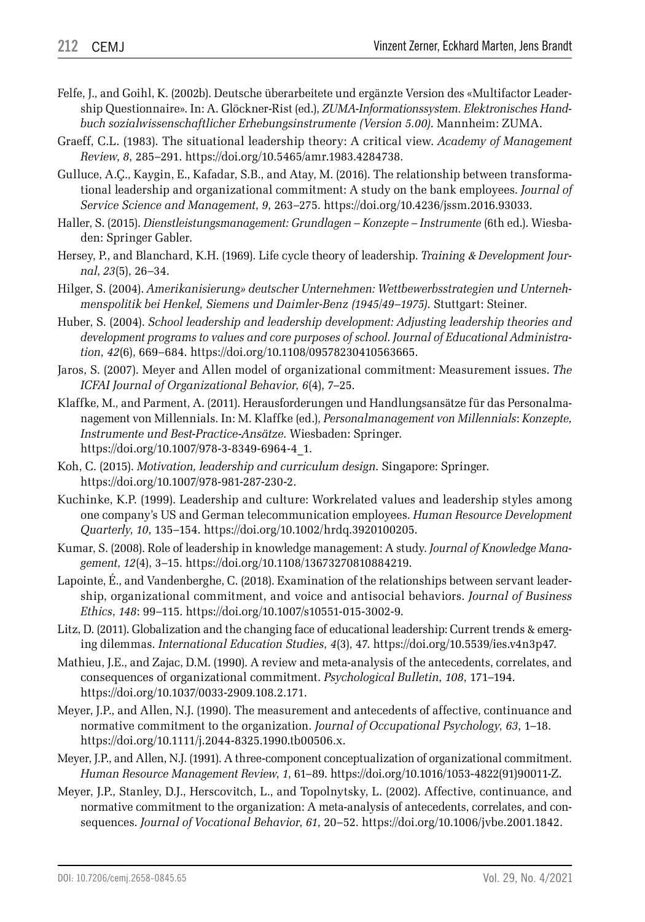- Felfe, J., and Goihl, K. (2002b). Deutsche überarbeitete und ergänzte Version des «Multifactor Leadership Questionnaire». In: A. Glöckner-Rist (ed.), *ZUMA-Informationssystem. Elektronisches Handbuch sozialwissenschaftlicher Erhebungsinstrumente (Version 5.00)*. Mannheim: ZUMA.
- Graeff, C.L. (1983). The situational leadership theory: A critical view. *Academy of Management Review*, *8*, 285–291. https://doi.org/10.5465/amr.1983.4284738.
- Gulluce, A.Ç., Kaygin, E., Kafadar, S.B., and Atay, M. (2016). The relationship between transformational leadership and organizational commitment: A study on the bank employees. *Journal of Service Science and Management*, *9*, 263–275. https://doi.org/10.4236/jssm.2016.93033.
- Haller, S. (2015). *Dienstleistungsmanagement: Grundlagen Konzepte Instrumente* (6th ed.). Wiesbaden: Springer Gabler.
- Hersey, P., and Blanchard, K.H. (1969). Life cycle theory of leadership. *Training* & *Development Journal*, *23*(5), 26–34.
- Hilger, S. (2004). *Amerikanisierung» deutscher Unternehmen: Wettbewerbsstrategien und Unternehmenspolitik bei Henkel, Siemens und Daimler-Benz (1945/49–1975)*. Stuttgart: Steiner.
- Huber, S. (2004). *School leadership and leadership development: Adjusting leadership theories and development programs to values and core purposes of school*. *Journal of Educational Administration*, *42*(6), 669–684. https://doi.org/10.1108/09578230410563665.
- Jaros, S. (2007). Meyer and Allen model of organizational commitment: Measurement issues. *The ICFAI Journal of Organizational Behavior*, *6*(4), 7–25.
- Klaffke, M., and Parment, A. (2011). Herausforderungen und Handlungsansätze für das Personalmanagement von Millennials. In: M. Klaffke (ed.), *Personalmanagement von Millennials*: *Konzepte, Instrumente und Best-Practice-Ansätze*. Wiesbaden: Springer. https://doi.org/10.1007/978-3-8349-6964-4\_1.
- Koh, C. (2015). *Motivation, leadership and curriculum design*. Singapore: Springer. https://doi.org/10.1007/978-981-287-230-2.
- Kuchinke, K.P. (1999). Leadership and culture: Workrelated values and leadership styles among one company's US and German telecommunication employees. *Human Resource Development Quarterly*, *10*, 135–154. https://doi.org/10.1002/hrdq.3920100205.
- Kumar, S. (2008). Role of leadership in knowledge management: A study. *Journal of Knowledge Management*, *12*(4), 3–15. https://doi.org/10.1108/13673270810884219.
- Lapointe, É., and Vandenberghe, C. (2018). Examination of the relationships between servant leadership, organizational commitment, and voice and antisocial behaviors. *Journal of Business Ethics*, *148*: 99–115. https://doi.org/10.1007/s10551-015-3002-9.
- Litz, D. (2011). Globalization and the changing face of educational leadership: Current trends & emerging dilemmas. *International Education Studies*, *4*(3), 47. https://doi.org/10.5539/ies.v4n3p47.
- Mathieu, J.E., and Zajac, D.M. (1990). A review and meta-analysis of the antecedents, correlates, and consequences of organizational commitment. *Psychological Bulletin*, *108*, 171–194. https://doi.org/10.1037/0033-2909.108.2.171.
- Meyer, J.P., and Allen, N.J. (1990). The measurement and antecedents of affective, continuance and normative commitment to the organization. *Journal of Occupational Psychology*, *63*, 1–18. https://doi.org/10.1111/j.2044-8325.1990.tb00506.x.
- Meyer, J.P., and Allen, N.J. (1991). A three-component conceptualization of organizational commitment. *Human Resource Management Review*, *1*, 61–89. https://doi.org/10.1016/1053-4822(91)90011-Z.
- Meyer, J.P., Stanley, D.J., Herscovitch, L., and Topolnytsky, L. (2002). Affective, continuance, and normative commitment to the organization: A meta-analysis of antecedents, correlates, and consequences. *Journal of Vocational Behavior*, *61*, 20–52. https://doi.org/10.1006/jvbe.2001.1842.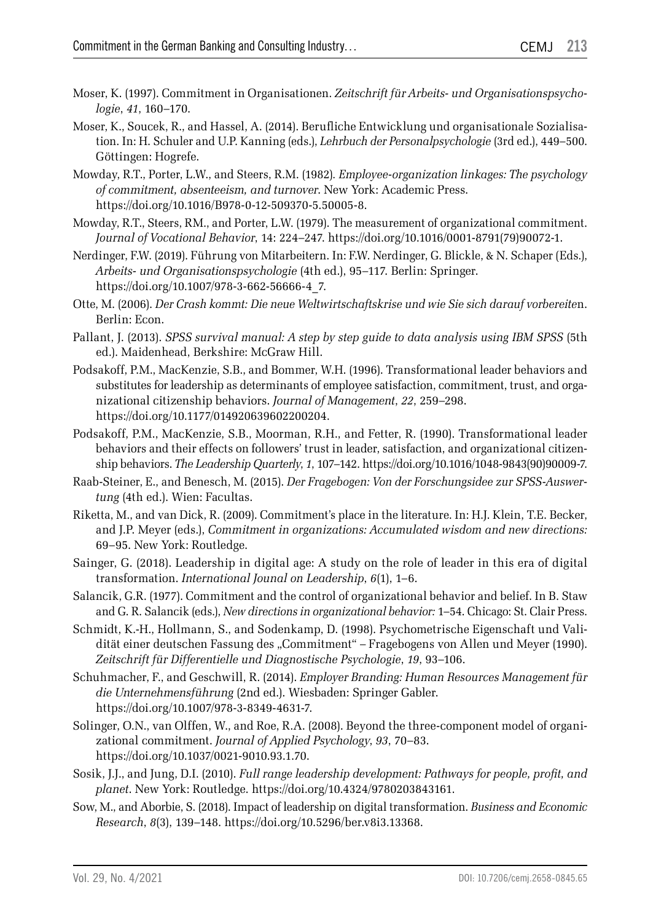- Moser, K. (1997). Commitment in Organisationen. *Zeitschrift für Arbeits- und Organisationspsychologie*, *41*, 160–170.
- Moser, K., Soucek, R., and Hassel, A. (2014). Berufliche Entwicklung und organisationale Sozialisation. In: H. Schuler and U.P. Kanning (eds.), *Lehrbuch der Personalpsychologie* (3rd ed.), 449–500. Göttingen: Hogrefe.
- Mowday, R.T., Porter, L.W., and Steers, R.M. (1982)*. Employee-organization linkages: The psychology of commitment, absenteeism, and turnover*. New York: Academic Press. https://doi.org/10.1016/B978-0-12-509370-5.50005-8.
- Mowday, R.T., Steers, RM., and Porter, L.W. (1979). The measurement of organizational commitment. *Journal of Vocational Behavior*, 14: 224–247. https://doi.org/10.1016/0001-8791(79)90072-1.
- Nerdinger, F.W. (2019). Führung von Mitarbeitern. In: F.W. Nerdinger, G. Blickle, & N. Schaper (Eds.), *Arbeits- und Organisationspsychologie* (4th ed.), 95–117. Berlin: Springer. https://doi.org/10.1007/978-3-662-56666-4\_7.
- Otte, M. (2006). *Der Crash kommt: Die neue Weltwirtschaftskrise und wie Sie sich darauf vorbereite*n. Berlin: Econ.
- Pallant, J. (2013). *SPSS survival manual: A step by step guide to data analysis using IBM SPSS* (5th ed.). Maidenhead, Berkshire: McGraw Hill.
- Podsakoff, P.M., MacKenzie, S.B., and Bommer, W.H. (1996). Transformational leader behaviors and substitutes for leadership as determinants of employee satisfaction, commitment, trust, and organizational citizenship behaviors. *Journal of Management*, *22*, 259–298. https://doi.org/10.1177/014920639602200204.
- Podsakoff, P.M., MacKenzie, S.B., Moorman, R.H., and Fetter, R. (1990). Transformational leader behaviors and their effects on followers' trust in leader, satisfaction, and organizational citizenship behaviors. *The Leadership Quarterly*, *1*, 107–142. https://doi.org/10.1016/1048-9843(90)90009-7.
- Raab-Steiner, E., and Benesch, M. (2015). *Der Fragebogen: Von der Forschungsidee zur SPSS-Auswertung* (4th ed.). Wien: Facultas.
- Riketta, M., and van Dick, R. (2009). Commitment's place in the literature. In: H.J. Klein, T.E. Becker, and J.P. Meyer (eds.), *Commitment in organizations: Accumulated wisdom and new directions:* 69–95. New York: Routledge.
- Sainger, G. (2018). Leadership in digital age: A study on the role of leader in this era of digital transformation. *International Jounal on Leadership*, *6*(1), 1–6.
- Salancik, G.R. (1977). Commitment and the control of organizational behavior and belief. In B. Staw and G. R. Salancik (eds.), *New directions in organizational behavior:* 1–54. Chicago: St. Clair Press.
- Schmidt, K.-H., Hollmann, S., and Sodenkamp, D. (1998). Psychometrische Eigenschaft und Validität einer deutschen Fassung des "Commitment" – Fragebogens von Allen und Meyer (1990). *Zeitschrift für Differentielle und Diagnostische Psychologie*, *19*, 93–106.
- Schuhmacher, F., and Geschwill, R. (2014). *Employer Branding: Human Resources Management für die Unternehmensführung* (2nd ed.). Wiesbaden: Springer Gabler. https://doi.org/10.1007/978-3-8349-4631-7.
- Solinger, O.N., van Olffen, W., and Roe, R.A. (2008). Beyond the three-component model of organizational commitment. *Journal of Applied Psychology*, *93*, 70–83. https://doi.org/10.1037/0021-9010.93.1.70.
- Sosik, J.J., and Jung, D.I. (2010). *Full range leadership development: Pathways for people, profit, and planet*. New York: Routledge. https://doi.org/10.4324/9780203843161.
- Sow, M., and Aborbie, S. (2018). Impact of leadership on digital transformation. *Business and Economic Research*, *8*(3), 139–148. https://doi.org/10.5296/ber.v8i3.13368.